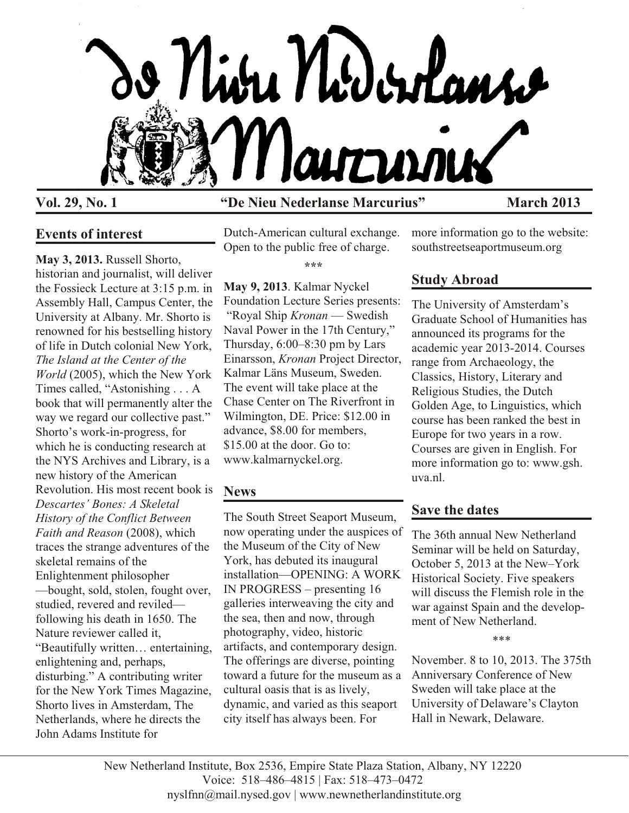

#### **Vol. 29, No. 1 "De Nieu Nederlanse Marcurius" March 2013**

#### **Events of interest**

**May 3, 2013.** Russell Shorto, historian and journalist, will deliver the Fossieck Lecture at 3:15 p.m. in Assembly Hall, Campus Center, the University at Albany. Mr. Shorto is renowned for his bestselling history of life in Dutch colonial New York, *The Island at the Center of the World* (2005), which the New York Times called, "Astonishing . . . A book that will permanently alter the way we regard our collective past." Shorto's work-in-progress, for which he is conducting research at the NYS Archives and Library, is a new history of the American Revolution. His most recent book is *Descartes' Bones: A Skeletal History of the Conflict Between Faith and Reason* (2008), which traces the strange adventures of the skeletal remains of the Enlightenment philosopher —bought, sold, stolen, fought over, studied, revered and reviled following his death in 1650. The Nature reviewer called it, "Beautifully written… entertaining, enlightening and, perhaps, disturbing." A contributing writer for the New York Times Magazine, Shorto lives in Amsterdam, The Netherlands, where he directs the John Adams Institute for

Dutch-American cultural exchange. Open to the public free of charge.

**\*\*\***

**May 9, 2013**. Kalmar Nyckel Foundation Lecture Series presents: "Royal Ship *Kronan* — Swedish Naval Power in the 17th Century," Thursday, 6:00–8:30 pm by Lars Einarsson, *Kronan* Project Director, Kalmar Läns Museum, Sweden. The event will take place at the Chase Center on The Riverfront in Wilmington, DE. Price: \$12.00 in advance, \$8.00 for members, \$15.00 at the door. Go to: www.kalmarnyckel.org.

## **News**

The South Street Seaport Museum, now operating under the auspices of the Museum of the City of New York, has debuted its inaugural installation—OPENING: A WORK IN PROGRESS – presenting 16 galleries interweaving the city and the sea, then and now, through photography, video, historic artifacts, and contemporary design. The offerings are diverse, pointing toward a future for the museum as a cultural oasis that is as lively, dynamic, and varied as this seaport city itself has always been. For

more information go to the website: southstreetseaportmuseum.org

# **Study Abroad**

The University of Amsterdam's Graduate School of Humanities has announced its programs for the academic year 2013-2014. Courses range from Archaeology, the Classics, History, Literary and Religious Studies, the Dutch Golden Age, to Linguistics, which course has been ranked the best in Europe for two years in a row. Courses are given in English. For more information go to: www.gsh. uva.nl.

# **Save the dates**

The 36th annual New Netherland Seminar will be held on Saturday, October 5, 2013 at the New–York Historical Society. Five speakers will discuss the Flemish role in the war against Spain and the development of New Netherland.

\*\*\*

November. 8 to 10, 2013. The 375th Anniversary Conference of New Sweden will take place at the University of Delaware's Clayton Hall in Newark, Delaware.

New Netherland Institute, Box 2536, Empire State Plaza Station, Albany, NY 12220 Voice: 518–486–4815 | Fax: 518–473–0472 nyslfnn@mail.nysed.gov | www.newnetherlandinstitute.org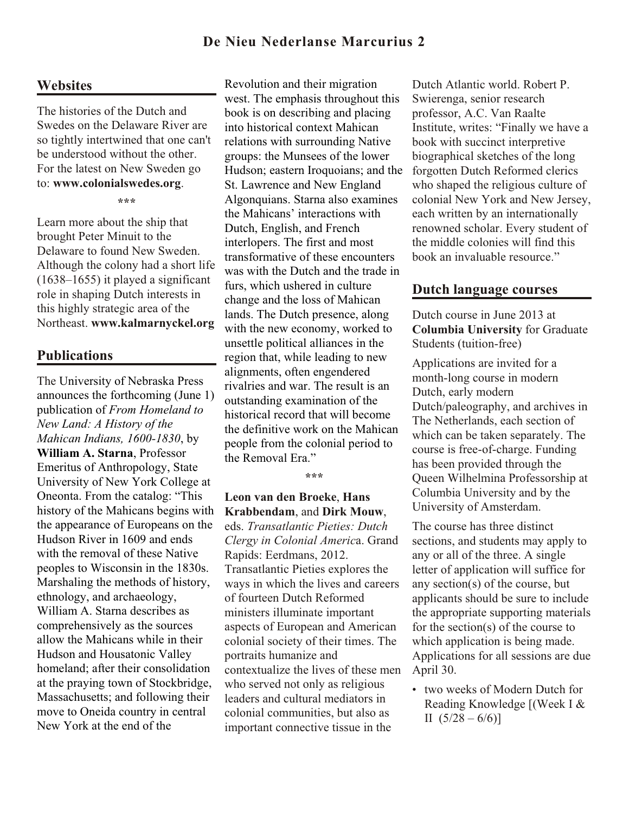## **De Nieu Nederlanse Marcurius 2**

#### **Websites**

The histories of the Dutch and Swedes on the Delaware River are so tightly intertwined that one can't be understood without the other. For the latest on New Sweden go to: **www.colonialswedes.org**.

**\*\*\***

Learn more about the ship that brought Peter Minuit to the Delaware to found New Sweden. Although the colony had a short life (1638–1655) it played a significant role in shaping Dutch interests in this highly strategic area of the Northeast. **www.kalmarnyckel.org**

#### **Publications**

The University of Nebraska Press announces the forthcoming (June 1) publication of *From Homeland to New Land: A History of the Mahican Indians, 1600-1830*, by **William A. Starna**, Professor Emeritus of Anthropology, State University of New York College at Oneonta. From the catalog: "This history of the Mahicans begins with the appearance of Europeans on the Hudson River in 1609 and ends with the removal of these Native peoples to Wisconsin in the 1830s. Marshaling the methods of history, ethnology, and archaeology, William A. Starna describes as comprehensively as the sources allow the Mahicans while in their Hudson and Housatonic Valley homeland; after their consolidation at the praying town of Stockbridge, Massachusetts; and following their move to Oneida country in central New York at the end of the

Revolution and their migration west. The emphasis throughout this book is on describing and placing into historical context Mahican relations with surrounding Native groups: the Munsees of the lower Hudson; eastern Iroquoians; and the St. Lawrence and New England Algonquians. Starna also examines the Mahicans' interactions with Dutch, English, and French interlopers. The first and most transformative of these encounters was with the Dutch and the trade in furs, which ushered in culture change and the loss of Mahican lands. The Dutch presence, along with the new economy, worked to unsettle political alliances in the region that, while leading to new alignments, often engendered rivalries and war. The result is an outstanding examination of the historical record that will become the definitive work on the Mahican people from the colonial period to the Removal Era."

**\*\*\***

#### **Leon van den Broeke**, **Hans Krabbendam**, and **Dirk Mouw**,

eds. *Transatlantic Pieties: Dutch Clergy in Colonial Americ*a. Grand Rapids: Eerdmans, 2012. Transatlantic Pieties explores the ways in which the lives and careers of fourteen Dutch Reformed ministers illuminate important aspects of European and American colonial society of their times. The portraits humanize and contextualize the lives of these men who served not only as religious leaders and cultural mediators in colonial communities, but also as important connective tissue in the

Dutch Atlantic world. Robert P. Swierenga, senior research professor, A.C. Van Raalte Institute, writes: "Finally we have a book with succinct interpretive biographical sketches of the long forgotten Dutch Reformed clerics who shaped the religious culture of colonial New York and New Jersey, each written by an internationally renowned scholar. Every student of the middle colonies will find this book an invaluable resource."

#### **Dutch language courses**

Dutch course in June 2013 at **Columbia University** for Graduate Students (tuition-free)

Applications are invited for a month-long course in modern Dutch, early modern Dutch/paleography, and archives in The Netherlands, each section of which can be taken separately. The course is free-of-charge. Funding has been provided through the Queen Wilhelmina Professorship at Columbia University and by the University of Amsterdam.

The course has three distinct sections, and students may apply to any or all of the three. A single letter of application will suffice for any section(s) of the course, but applicants should be sure to include the appropriate supporting materials for the section(s) of the course to which application is being made. Applications for all sessions are due April 30.

• two weeks of Modern Dutch for Reading Knowledge [(Week I & II  $(5/28 - 6/6)$ ]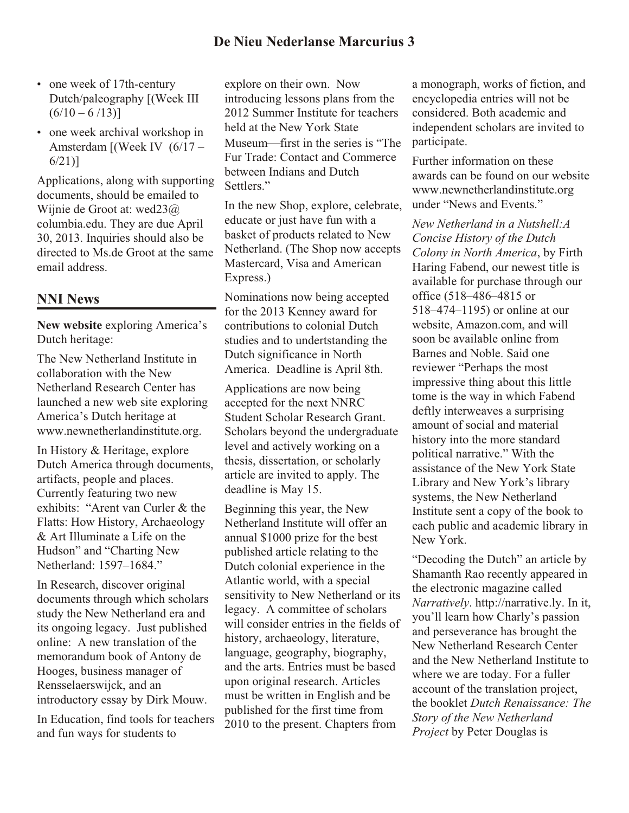- one week of 17th-century Dutch/paleography [(Week III  $(6/10 - 6/13)$
- one week archival workshop in Amsterdam [(Week IV (6/17 – 6/21)]

Applications, along with supporting documents, should be emailed to Wijnie de Groot at: wed23@ columbia.edu. They are due April 30, 2013. Inquiries should also be directed to Ms.de Groot at the same email address.

#### **NNI News**

**New website** exploring America's Dutch heritage:

The New Netherland Institute in collaboration with the New Netherland Research Center has launched a new web site exploring America's Dutch heritage at www.newnetherlandinstitute.org.

In History & Heritage, explore Dutch America through documents, artifacts, people and places. Currently featuring two new exhibits: "Arent van Curler & the Flatts: How History, Archaeology & Art Illuminate a Life on the Hudson" and "Charting New Netherland: 1597–1684."

In Research, discover original documents through which scholars study the New Netherland era and its ongoing legacy. Just published online: A new translation of the memorandum book of Antony de Hooges, business manager of Rensselaerswijck, and an introductory essay by Dirk Mouw.

In Education, find tools for teachers and fun ways for students to

explore on their own. Now introducing lessons plans from the 2012 Summer Institute for teachers held at the New York State Museum—first in the series is "The Fur Trade: Contact and Commerce between Indians and Dutch Settlers."

In the new Shop, explore, celebrate, educate or just have fun with a basket of products related to New Netherland. (The Shop now accepts Mastercard, Visa and American Express.)

Nominations now being accepted for the 2013 Kenney award for contributions to colonial Dutch studies and to undertstanding the Dutch significance in North America. Deadline is April 8th.

Applications are now being accepted for the next NNRC Student Scholar Research Grant. Scholars beyond the undergraduate level and actively working on a thesis, dissertation, or scholarly article are invited to apply. The deadline is May 15.

Beginning this year, the New Netherland Institute will offer an annual \$1000 prize for the best published article relating to the Dutch colonial experience in the Atlantic world, with a special sensitivity to New Netherland or its legacy. A committee of scholars will consider entries in the fields of history, archaeology, literature, language, geography, biography, and the arts. Entries must be based upon original research. Articles must be written in English and be published for the first time from 2010 to the present. Chapters from

a monograph, works of fiction, and encyclopedia entries will not be considered. Both academic and independent scholars are invited to participate.

Further information on these awards can be found on our website www.newnetherlandinstitute.org under "News and Events."

*New Netherland in a Nutshell:A Concise History of the Dutch Colony in North America*, by Firth Haring Fabend, our newest title is available for purchase through our office (518–486–4815 or 518–474–1195) or online at our website, Amazon.com, and will soon be available online from Barnes and Noble. Said one reviewer "Perhaps the most impressive thing about this little tome is the way in which Fabend deftly interweaves a surprising amount of social and material history into the more standard political narrative." With the assistance of the New York State Library and New York's library systems, the New Netherland Institute sent a copy of the book to each public and academic library in New York.

"Decoding the Dutch" an article by Shamanth Rao recently appeared in the electronic magazine called *Narratively*. http://narrative.ly. In it, you'll learn how Charly's passion and perseverance has brought the New Netherland Research Center and the New Netherland Institute to where we are today. For a fuller account of the translation project, the booklet *Dutch Renaissance: The Story of the New Netherland Project* by Peter Douglas is